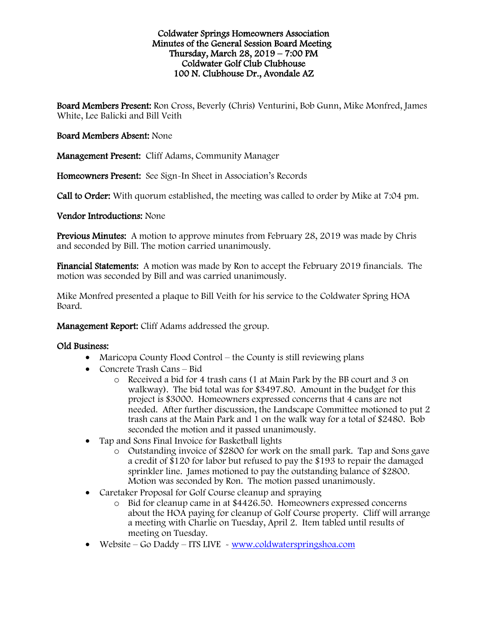#### Coldwater Springs Homeowners Association Minutes of the General Session Board Meeting Thursday, March 28, 2019 – 7:00 PM Coldwater Golf Club Clubhouse 100 N. Clubhouse Dr., Avondale AZ

Board Members Present: Ron Cross, Beverly (Chris) Venturini, Bob Gunn, Mike Monfred, James White, Lee Balicki and Bill Veith

# Board Members Absent: None

Management Present: Cliff Adams, Community Manager

Homeowners Present: See Sign-In Sheet in Association's Records

Call to Order: With quorum established, the meeting was called to order by Mike at 7:04 pm.

# Vendor Introductions: None

Previous Minutes: A motion to approve minutes from February 28, 2019 was made by Chris and seconded by Bill. The motion carried unanimously.

Financial Statements: A motion was made by Ron to accept the February 2019 financials. The motion was seconded by Bill and was carried unanimously.

Mike Monfred presented a plaque to Bill Veith for his service to the Coldwater Spring HOA Board.

Management Report: Cliff Adams addressed the group.

#### Old Business:

- Maricopa County Flood Control the County is still reviewing plans
- Concrete Trash Cans Bid
	- o Received a bid for 4 trash cans (1 at Main Park by the BB court and 3 on walkway). The bid total was for \$3497.80. Amount in the budget for this project is \$3000. Homeowners expressed concerns that 4 cans are not needed. After further discussion, the Landscape Committee motioned to put 2 trash cans at the Main Park and 1 on the walk way for a total of \$2480. Bob seconded the motion and it passed unanimously.
- Tap and Sons Final Invoice for Basketball lights
	- o Outstanding invoice of \$2800 for work on the small park. Tap and Sons gave a credit of \$120 for labor but refused to pay the \$193 to repair the damaged sprinkler line. James motioned to pay the outstanding balance of \$2800. Motion was seconded by Ron. The motion passed unanimously.
- Caretaker Proposal for Golf Course cleanup and spraying
	- o Bid for cleanup came in at \$4426.50. Homeowners expressed concerns about the HOA paying for cleanup of Golf Course property. Cliff will arrange a meeting with Charlie on Tuesday, April 2. Item tabled until results of meeting on Tuesday.
- Website Go Daddy ITS LIVE [www.coldwaterspringshoa.com](http://www.coldwaterspringshoa.com/)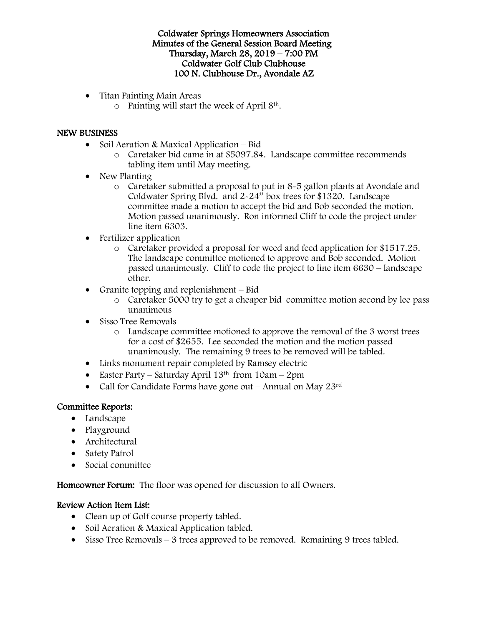Coldwater Springs Homeowners Association Minutes of the General Session Board Meeting Thursday, March 28, 2019 – 7:00 PM Coldwater Golf Club Clubhouse 100 N. Clubhouse Dr., Avondale AZ

- Titan Painting Main Areas
	- o Painting will start the week of April 8th.

# NEW BUSINESS

- Soil Aeration & Maxical Application Bid
	- o Caretaker bid came in at \$5097.84. Landscape committee recommends tabling item until May meeting.
- New Planting
	- o Caretaker submitted a proposal to put in 8-5 gallon plants at Avondale and Coldwater Spring Blvd. and 2-24" box trees for \$1320. Landscape committee made a motion to accept the bid and Bob seconded the motion. Motion passed unanimously. Ron informed Cliff to code the project under line item 6303.
- Fertilizer application
	- o Caretaker provided a proposal for weed and feed application for \$1517.25. The landscape committee motioned to approve and Bob seconded. Motion passed unanimously. Cliff to code the project to line item 6630 – landscape other.
- Granite topping and replenishment  $-$  Bid
	- o Caretaker 5000 try to get a cheaper bid committee motion second by lee pass unanimous
- Sisso Tree Removals
	- o Landscape committee motioned to approve the removal of the 3 worst trees for a cost of \$2655. Lee seconded the motion and the motion passed unanimously. The remaining 9 trees to be removed will be tabled.
- Links monument repair completed by Ramsey electric
- Easter Party Saturday April  $13<sup>th</sup>$  from  $10am 2pm$
- Call for Candidate Forms have gone out Annual on May 23rd

# Committee Reports:

- Landscape
- Playground
- Architectural
- Safety Patrol
- Social committee

Homeowner Forum: The floor was opened for discussion to all Owners.

# Review Action Item List:

- Clean up of Golf course property tabled.
- Soil Aeration & Maxical Application tabled.
- Sisso Tree Removals 3 trees approved to be removed. Remaining 9 trees tabled.